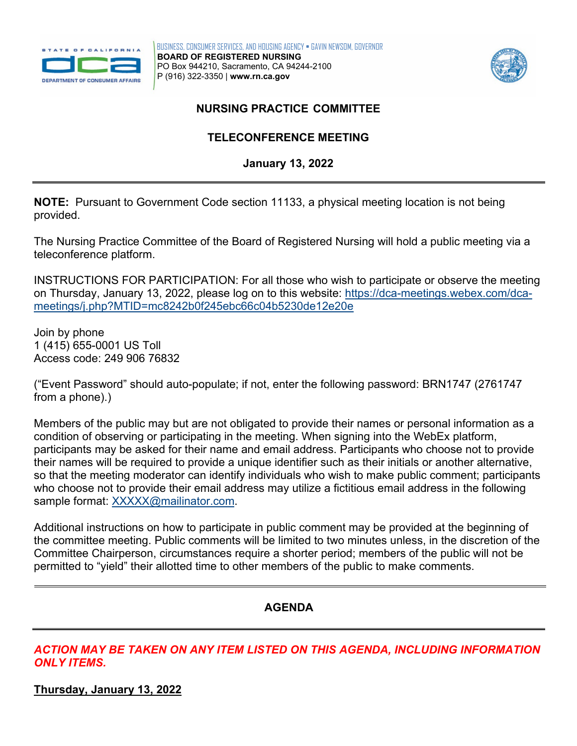

BUSINESS, CONSUMER SERVICES, AND HOUSING AGENCY • GAVIN NEWSOM, GOVERNOR **BOARD OF REGISTERED NURSING**  PO Box 944210, Sacramento, CA 94244-2100 P (916) 322-3350 | **[www.rn.ca.gov](http://www.rn.ca.gov/)** 



## **NURSING PRACTICE COMMITTEE TELECONFERENCE MEETING**

 **January 13, 2022** 

 **NOTE:** Pursuant to Government Code section 11133, a physical meeting location is not being provided.

The Nursing Practice Committee of the Board of Registered Nursing will hold a public meeting via a teleconference platform.

on Thursday, January 13, 2022, please log on to this website: <u>https://dca-meetings.webex.com/dca-</u> INSTRUCTIONS FOR PARTICIPATION: For all those who wish to participate or observe the meeting [meetings/j.php?MTID=mc8242b0f245ebc66c04b5230de12e20e](https://dca-meetings.webex.com/dca-meetings/j.php?MTID=mc8242b0f245ebc66c04b5230de12e20e) 

Join by phone 1 (415) 655-0001 US Toll Access code: 249 906 76832

("Event Password" should auto-populate; if not, enter the following password: BRN1747 (2761747 from a phone).)

 their names will be required to provide a unique identifier such as their initials or another alternative, Members of the public may but are not obligated to provide their names or personal information as a condition of observing or participating in the meeting. When signing into the WebEx platform, participants may be asked for their name and email address. Participants who choose not to provide so that the meeting moderator can identify individuals who wish to make public comment; participants who choose not to provide their email address may utilize a fictitious email address in the following sample format: [XXXXX@mailinator.com.](mailto:XXXXX@mailinator.com)

Additional instructions on how to participate in public comment may be provided at the beginning of the committee meeting. Public comments will be limited to two minutes unless, in the discretion of the Committee Chairperson, circumstances require a shorter period; members of the public will not be permitted to "yield" their allotted time to other members of the public to make comments.

## **AGENDA**

*ACTION MAY BE TAKEN ON ANY ITEM LISTED ON THIS AGENDA, INCLUDING INFORMATION ONLY ITEMS.* 

**Thursday, January 13, 2022**